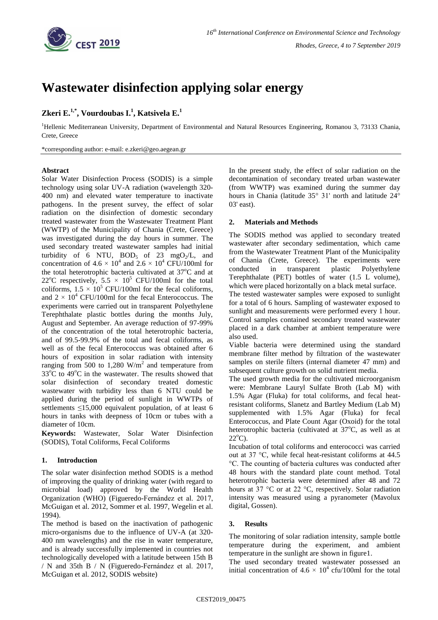

# **Wastewater disinfection applying solar energy**

## **Zkeri E.1,\* , Vourdoubas I.<sup>1</sup> , Katsivela E.<sup>1</sup>**

<sup>1</sup>Hellenic Mediterranean University, Department of Environmental and Natural Resources Engineering, Romanou 3, 73133 Chania, Crete, Greece

\*corresponding author: e-mail: e.zkeri@geo.aegean.gr

#### **Abstract**

Solar Water Disinfection Process (SODIS) is a simple technology using solar UV-A radiation (wavelength 320- 400 nm) and elevated water temperature to inactivate pathogens. In the present survey, the effect of solar radiation on the disinfection of domestic secondary treated wastewater from the Wastewater Treatment Plant (WWTP) of the Municipality of Chania (Crete, Greece) was investigated during the day hours in summer. The used secondary treated wastewater samples had initial turbidity of 6 NTU,  $BOD_5$  of 23 mgO<sub>2</sub>/L, and concentration of  $4.6 \times 10^4$  and  $2.6 \times 10^4$  CFU/100ml for the total heterotrophic bacteria cultivated at 37<sup>o</sup>C and at 22<sup>o</sup>C respectively,  $5.5 \times 10^5$  CFU/100ml for the total coliforms,  $1.5 \times 10^5$  CFU/100ml for the fecal coliforms, and  $2 \times 10^4$  CFU/100ml for the fecal Enterococcus. The experiments were carried out in transparent Polyethylene Terephthalate plastic bottles during the months July, August and September. An average reduction of 97-99% of the concentration of the total heterotrophic bacteria, and of 99.5-99.9% of the total and fecal coliforms, as well as of the fecal Enterococcus was obtained after 6 hours of exposition in solar radiation with intensity ranging from 500 to 1,280  $W/m<sup>2</sup>$  and temperature from  $33^{\circ}$ C to  $49^{\circ}$ C in the wastewater. The results showed that solar disinfection of secondary treated domestic wastewater with turbidity less than 6 ΝΤU could be applied during the period of sunlight in WWTPs of settlements ≤15,000 equivalent population, of at least 6 hours in tanks with deepness of 10cm or tubes with a diameter of 10cm.

**Keywords:** Wastewater, Solar Water Disinfection (SODIS), Total Coliforms, Fecal Coliforms

## **1. Introduction**

The solar water disinfection method SODIS is a method of improving the quality of drinking water (with regard to microbial load) approved by the World Health Organization (WHO) (Figueredo-Fernández et al. 2017, McGuigan et al. 2012, Sommer et al. 1997, Wegelin et al. 1994).

The method is based on the inactivation of pathogenic micro-organisms due to the influence of UV-A (at 320- 400 nm wavelengths) and the rise in water temperature, and is already successfully implemented in countries not technologically developed with a latitude between 15th B / N and 35th B / N (Figueredo-Fernández et al. 2017, McGuigan et al. 2012, SODIS website)

In the present study, the effect of solar radiation on the decontamination of secondary treated urban wastewater (from WWTP) was examined during the summer day hours in Chania (latitude 35° 31' north and latitude 24° 03' east).

## **2. Materials and Methods**

The SODIS method was applied to secondary treated wastewater after secondary sedimentation, which came from the Wastewater Treatment Plant of the Municipality of Chania (Crete, Greece). The experiments were conducted in transparent plastic Polyethylene Terephthalate (PET) bottles of water (1.5 L volume), which were placed horizontally on a black metal surface.

The tested wastewater samples were exposed to sunlight for a total of 6 hours. Sampling of wastewater exposed to sunlight and measurements were performed every 1 hour. Control samples contained secondary treated wastewater placed in a dark chamber at ambient temperature were also used.

Viable bacteria were determined using the standard membrane filter method by filtration of the wastewater samples on sterile filters (internal diameter 47 mm) and subsequent culture growth on solid nutrient media.

The used growth media for the cultivated microorganism were: Membrane Lauryl Sulfate Broth (Lab M) with 1.5% Agar (Fluka) for total coliforms, and fecal heatresistant coliforms, Slanetz and Bartley Medium (Lab M) supplemented with 1.5% Agar (Fluka) for fecal Enterococcus, and Plate Count Agar (Oxoid) for the total heterotrophic bacteria (cultivated at 37°C, as well as at  $22^{\circ}$ C).

Incubation of total coliforms and enterococci was carried out at 37 °C, while fecal heat-resistant coliforms at 44.5 °C. The counting of bacteria cultures was conducted after 48 hours with the standard plate count method. Total heterotrophic bacteria were determined after 48 and 72 hours at 37 °C or at 22 °C, respectively. Solar radiation intensity was measured using a pyranometer (Mavolux digital, Gossen).

## **3. Results**

The monitoring of solar radiation intensity, sample bottle temperature during the experiment, and ambient temperature in the sunlight are shown in figure1.

The used secondary treated wastewater possessed an initial concentration of  $4.6 \times 10^4$  cfu/100ml for the total